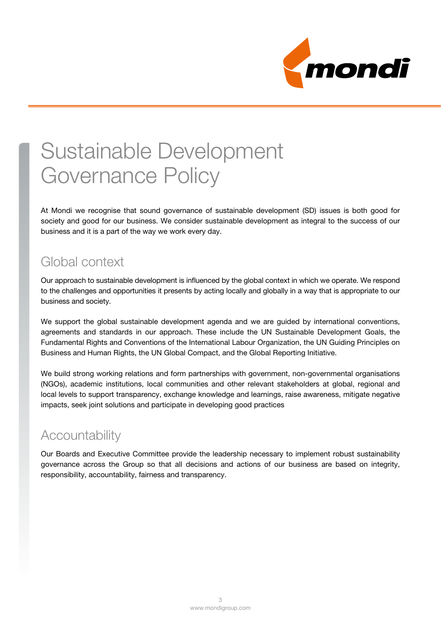

# Sustainable Development Governance Policy

At Mondi we recognise that sound governance of sustainable development (SD) issues is both good for society and good for our business. We consider sustainable development as integral to the success of our business and it is a part of the way we work every day.

## Global context

Our approach to sustainable development is influenced by the global context in which we operate. We respond to the challenges and opportunities it presents by acting locally and globally in a way that is appropriate to our business and society.

We support the global sustainable development agenda and we are quided by international conventions, agreements and standards in our approach. These include the UN Sustainable Development Goals, the Fundamental Rights and Conventions of the International Labour Organization, the UN Guiding Principles on Business and Human Rights, the UN Global Compact, and the Global Reporting Initiative.

We build strong working relations and form partnerships with government, non-governmental organisations (NGOs), academic institutions, local communities and other relevant stakeholders at global, regional and local levels to support transparency, exchange knowledge and learnings, raise awareness, mitigate negative impacts, seek joint solutions and participate in developing good practices

## **Accountability**

Our Boards and Executive Committee provide the leadership necessary to implement robust sustainability governance across the Group so that all decisions and actions of our business are based on integrity, responsibility, accountability, fairness and transparency.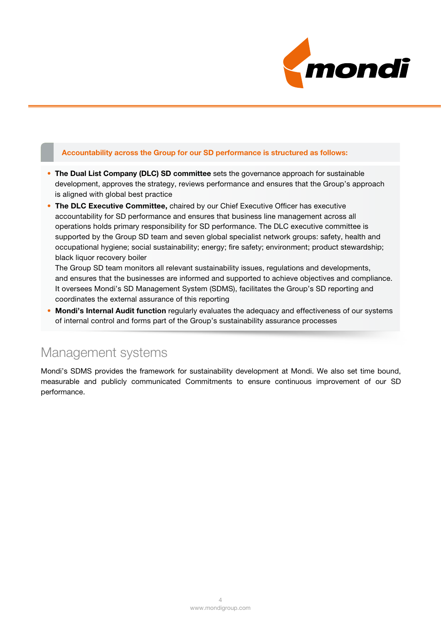

#### Accountability across the Group for our SD performance is structured as follows:

- The Dual List Company (DLC) SD committee sets the governance approach for sustainable development, approves the strategy, reviews performance and ensures that the Group's approach is aligned with global best practice
- The DLC Executive Committee, chaired by our Chief Executive Officer has executive accountability for SD performance and ensures that business line management across all operations holds primary responsibility for SD performance. The DLC executive committee is supported by the Group SD team and seven global specialist network groups: safety, health and occupational hygiene; social sustainability; energy; fire safety; environment; product stewardship; black liquor recovery boiler

The Group SD team monitors all relevant sustainability issues, regulations and developments, and ensures that the businesses are informed and supported to achieve objectives and compliance. It oversees Mondi's SD Management System (SDMS), facilitates the Group's SD reporting and coordinates the external assurance of this reporting

• Mondi's Internal Audit function regularly evaluates the adequacy and effectiveness of our systems of internal control and forms part of the Group's sustainability assurance processes

### Management systems

Mondi's SDMS provides the framework for sustainability development at Mondi. We also set time bound, measurable and publicly communicated Commitments to ensure continuous improvement of our SD performance.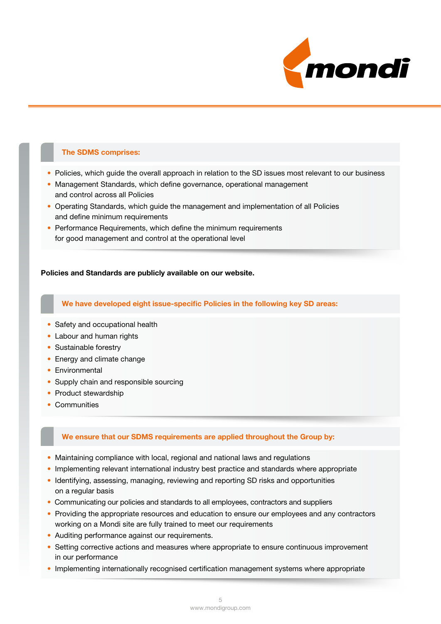

#### The SDMS comprises:

- Policies, which guide the overall approach in relation to the SD issues most relevant to our business
- Management Standards, which define governance, operational management and control across all Policies
- Operating Standards, which guide the management and implementation of all Policies and define minimum requirements
- Performance Requirements, which define the minimum requirements for good management and control at the operational level

#### Policies and Standards are publicly available on our website.

#### We have developed eight issue-specific Policies in the following key SD areas:

- Safety and occupational health
- Labour and human rights
- Sustainable forestry
- Energy and climate change
- Environmental
- Supply chain and responsible sourcing
- Product stewardship
- Communities

#### We ensure that our SDMS requirements are applied throughout the Group by:

- Maintaining compliance with local, regional and national laws and regulations
- Implementing relevant international industry best practice and standards where appropriate
- Identifying, assessing, managing, reviewing and reporting SD risks and opportunities on a regular basis
- Communicating our policies and standards to all employees, contractors and suppliers
- Providing the appropriate resources and education to ensure our employees and any contractors working on a Mondi site are fully trained to meet our requirements
- Auditing performance against our requirements.
- Setting corrective actions and measures where appropriate to ensure continuous improvement in our performance
- Implementing internationally recognised certification management systems where appropriate